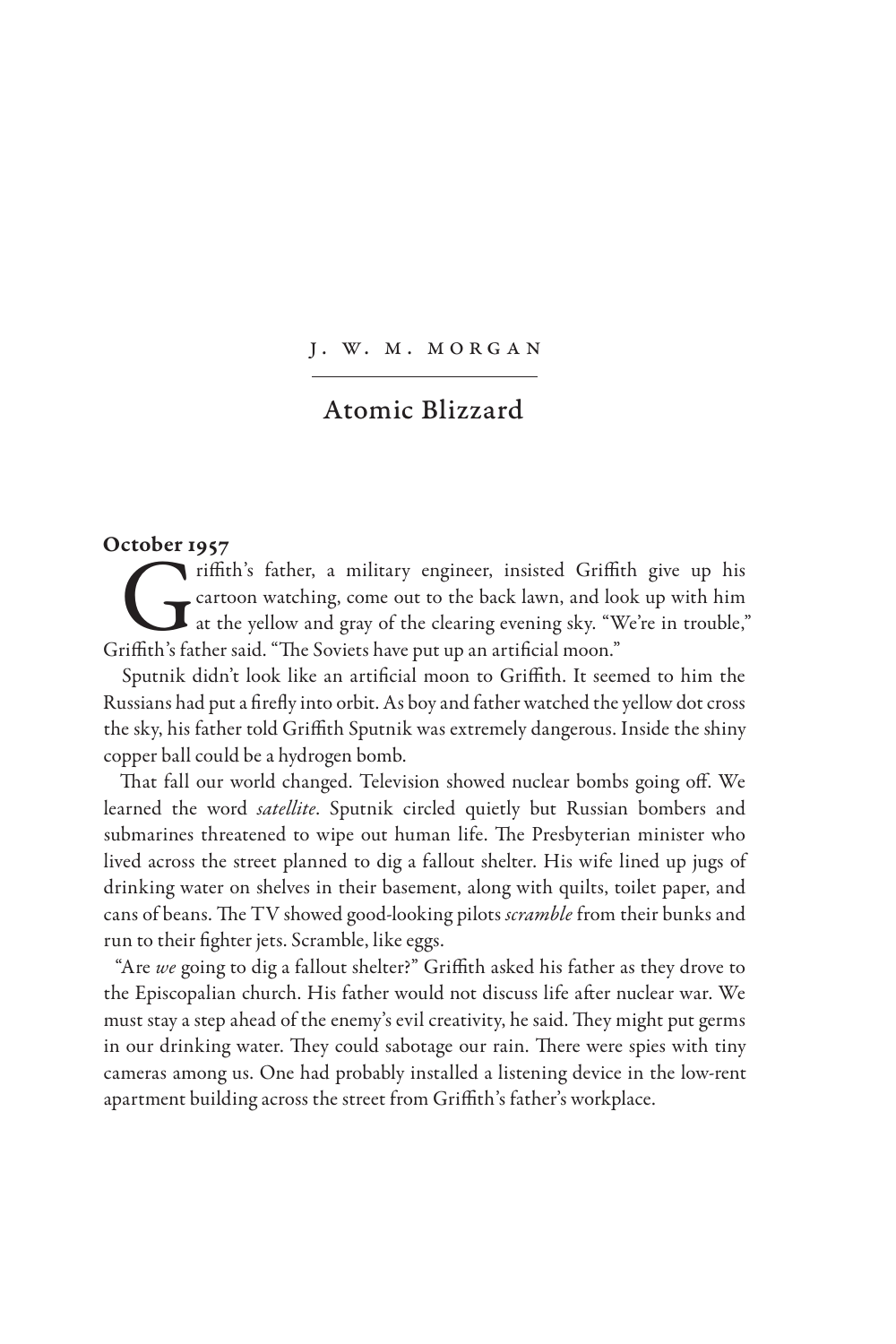J. W. M. MORGAN

## Atomic Blizzard

## October 1957

Fiffith's father, a military engineer, insisted Griffith give up his cartoon watching, come out to the back lawn, and look up with him at the yellow and gray of the clearing evening sky. "We're in trouble," riffith's fathe cartoon watching, come out to the back lawn, and look up with him at the yellow and gray of the clearing evening sky. "We're in trouble," Griffith's father said. "The Soviets have put up an artificial moon."

Sputnik didn't look like an artificial moon to Griffith. It seemed to him the Russians had put a firefly into orbit. As boy and father watched the yellow dot cross the sky, his father told Griffith Sputnik was extremely dangerous. Inside the shiny copper ball could be a hydrogen bomb.

That fall our world changed. Television showed nuclear bombs going off. We learned the word *satellite*. Sputnik circled quietly but Russian bombers and submarines threatened to wipe out human life. The Presbyterian minister who lived across the street planned to dig a fallout shelter. His wife lined up jugs of drinking water on shelves in their basement, along with quilts, toilet paper, and cans of beans. The TV showed good-looking pilots *scramble* from their bunks and run to their fighter jets. Scramble, like eggs.

"Are *we* going to dig a fallout shelter?" Griffith asked his father as they drove to the Episcopalian church. His father would not discuss life after nuclear war. We must stay a step ahead of the enemy's evil creativity, he said. They might put germs in our drinking water. They could sabotage our rain. There were spies with tiny cameras among us. One had probably installed a listening device in the low-rent apartment building across the street from Griffith's father's workplace.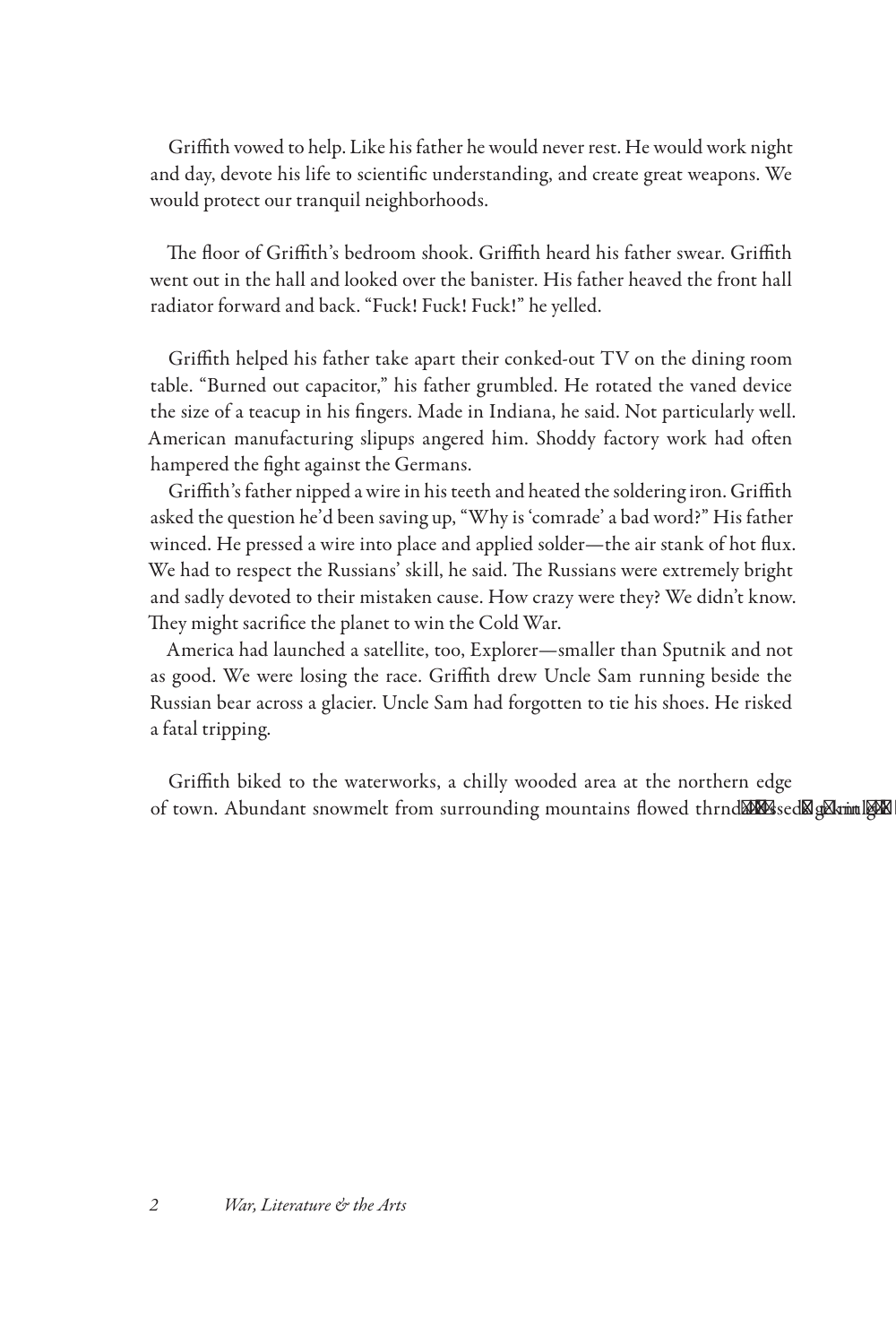Griffith vowed to help. Like his father he would never rest. He would work night and day, devote his life to scientific understanding, and create great weapons. We would protect our tranquil neighborhoods.

The floor of Griffith's bedroom shook. Griffith heard his father swear. Griffith went out in the hall and looked over the banister. His father heaved the front hall radiator forward and back. "Fuck! Fuck! Fuck!" he yelled.

Griffith helped his father take apart their conked-out TV on the dining room table. "Burned out capacitor," his father grumbled. He rotated the vaned device the size of a teacup in his fingers. Made in Indiana, he said. Not particularly well. American manufacturing slipups angered him. Shoddy factory work had often hampered the fight against the Germans.

Griffith's father nipped a wire in his teeth and heated the soldering iron. Griffith asked the question he'd been saving up, "Why is 'comrade' a bad word?" His father winced. He pressed a wire into place and applied solder—the air stank of hot flux. We had to respect the Russians' skill, he said. The Russians were extremely bright and sadly devoted to their mistaken cause. How crazy were they? We didn't know. They might sacrifice the planet to win the Cold War.

America had launched a satellite, too, Explorer—smaller than Sputnik and not as good. We were losing the race. Griffith drew Uncle Sam running beside the Russian bear across a glacier. Uncle Sam had forgotten to tie his shoes. He risked a fatal tripping.

Griffith biked to the waterworks, a chilly wooded area at the northern edge of town. Abundant snowmelt from surrounding mountains flowed thrnd**ano**ssed&g& rinlt kn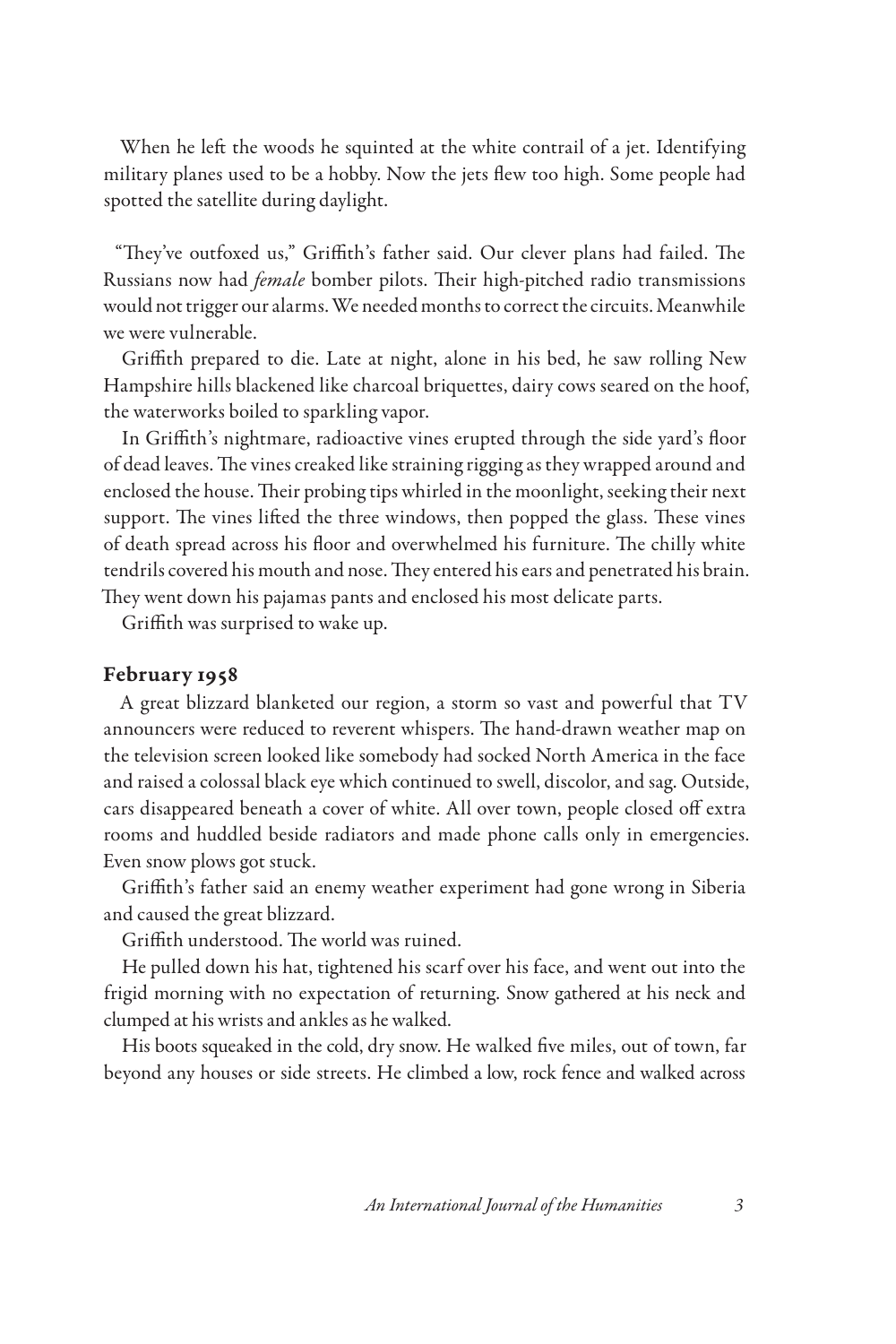When he left the woods he squinted at the white contrail of a jet. Identifying military planes used to be a hobby. Now the jets flew too high. Some people had spotted the satellite during daylight.

"They've outfoxed us," Griffith's father said. Our clever plans had failed. The Russians now had *female* bomber pilots. Their high-pitched radio transmissions would not trigger our alarms. We needed months to correct the circuits. Meanwhile we were vulnerable.

Griffith prepared to die. Late at night, alone in his bed, he saw rolling New Hampshire hills blackened like charcoal briquettes, dairy cows seared on the hoof, the waterworks boiled to sparkling vapor.

In Griffith's nightmare, radioactive vines erupted through the side yard's floor of dead leaves. The vines creaked like straining rigging as they wrapped around and enclosed the house. Their probing tips whirled in the moonlight, seeking their next support. The vines lifted the three windows, then popped the glass. These vines of death spread across his floor and overwhelmed his furniture. The chilly white tendrils covered his mouth and nose. They entered his ears and penetrated his brain. They went down his pajamas pants and enclosed his most delicate parts.

Griffith was surprised to wake up.

## February 1958

A great blizzard blanketed our region, a storm so vast and powerful that TV announcers were reduced to reverent whispers. The hand-drawn weather map on the television screen looked like somebody had socked North America in the face and raised a colossal black eye which continued to swell, discolor, and sag. Outside, cars disappeared beneath a cover of white. All over town, people closed off extra rooms and huddled beside radiators and made phone calls only in emergencies. Even snow plows got stuck.

Griffith's father said an enemy weather experiment had gone wrong in Siberia and caused the great blizzard.

Griffith understood. The world was ruined.

He pulled down his hat, tightened his scarf over his face, and went out into the frigid morning with no expectation of returning. Snow gathered at his neck and clumped at his wrists and ankles as he walked.

His boots squeaked in the cold, dry snow. He walked five miles, out of town, far beyond any houses or side streets. He climbed a low, rock fence and walked across